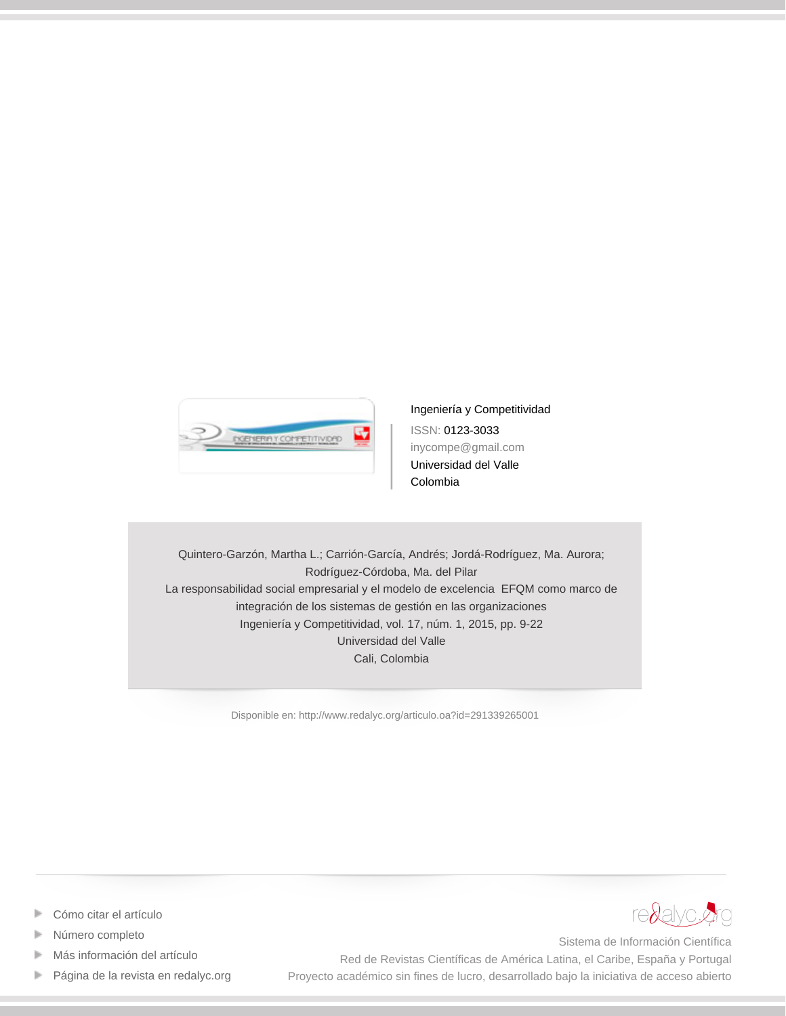

[Ingeniería y Competitividad](http://www.redalyc.org/revista.oa?id=2913) ISSN: 0123-3033 inycompe@gmail.com Universidad del Valle Colombia

Quintero-Garzón, Martha L.; Carrión-García, Andrés; Jordá-Rodríguez, Ma. Aurora; Rodríguez-Córdoba, Ma. del Pilar La responsabilidad social empresarial y el modelo de excelencia EFQM como marco de integración de los sistemas de gestión en las organizaciones Ingeniería y Competitividad, vol. 17, núm. 1, 2015, pp. 9-22 Universidad del Valle Cali, Colombia

[Disponible en: http://www.redalyc.org/articulo.oa?id=291339265001](http://www.redalyc.org/articulo.oa?id=291339265001)



- [Cómo citar el artículo](http://www.redalyc.org/comocitar.oa?id=291339265001)
- [Número completo](http://www.redalyc.org/fasciculo.oa?id=2913&numero=39265)
- [Más información del artículo](http://www.redalyc.org/articulo.oa?id=291339265001) Þ
- [Página de la revista en redalyc.org](http://www.redalyc.org/revista.oa?id=2913)  $\mathbb P$

Sistema de Información Científica Red de Revistas Científicas de América Latina, el Caribe, España y Portugal Proyecto académico sin fines de lucro, desarrollado bajo la iniciativa de acceso abierto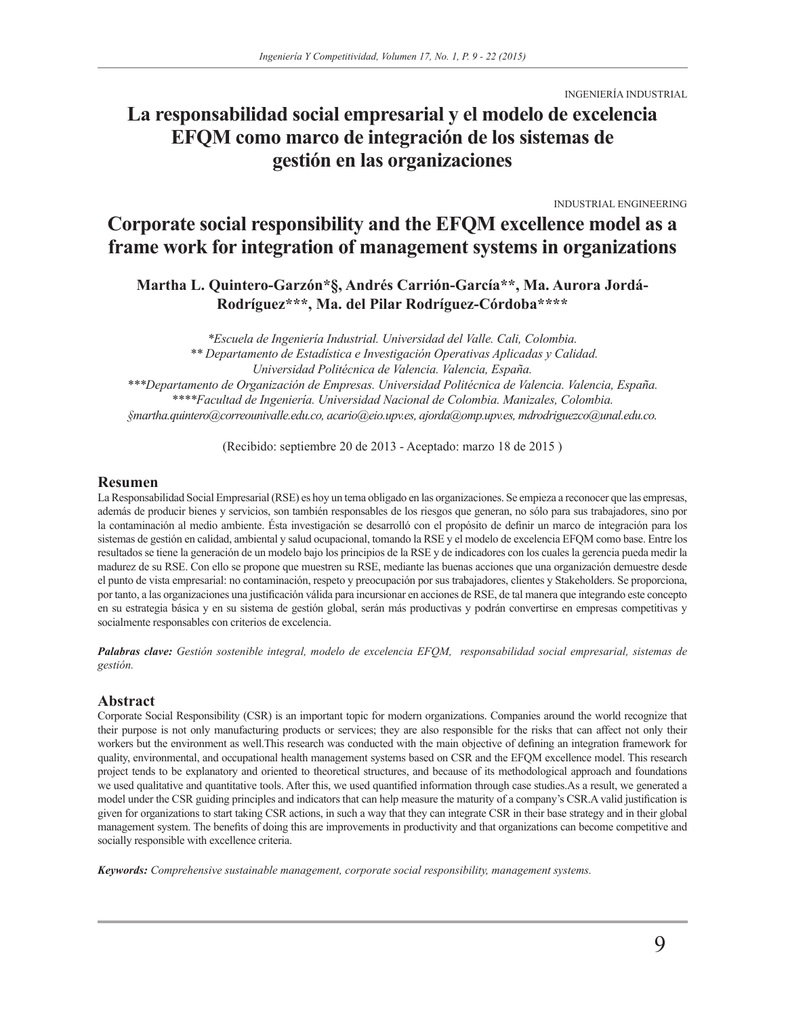INGENIERÍA INDUSTRIAL

# **La responsabilidad social empresarial y el modelo de excelencia EFQM como marco de integración de los sistemas de gestión en las organizaciones**

INDUSTRIAL ENGINEERING

# **Corporate social responsibility and the EFQM excellence model as a frame work for integration of management systems in organizations**

**Martha L. Quintero-Garzón\*§, Andrés Carrión-García\*\*, Ma. Aurora Jordá-Rodríguez\*\*\*, Ma. del Pilar Rodríguez-Córdoba\*\*\*\***

*\*Escuela de Ingeniería Industrial. Universidad del Valle. Cali, Colombia. \*\* Departamento de Estadística e Investigación Operativas Aplicadas y Calidad. Universidad Politécnica de Valencia. Valencia, España. \*\*\*Departamento de Organización de Empresas. Universidad Politécnica de Valencia. Valencia, España. \*\*\*\*Facultad de Ingeniería. Universidad Nacional de Colombia. Manizales, Colombia. §martha.quintero@correounivalle.edu.co, acario@eio.upv.es, ajorda@omp.upv.es, mdrodriguezco@unal.edu.co.*

(Recibido: septiembre 20 de 2013 - Aceptado: marzo 18 de 2015 )

#### **Resumen**

La Responsabilidad Social Empresarial (RSE) es hoy un tema obligado en las organizaciones. Se empieza a reconocer que las empresas, además de producir bienes y servicios, son también responsables de los riesgos que generan, no sólo para sus trabajadores, sino por la contaminación al medio ambiente. Ésta investigación se desarrolló con el propósito de definir un marco de integración para los sistemas de gestión en calidad, ambiental y salud ocupacional, tomando la RSE y el modelo de excelencia EFQM como base. Entre los resultados se tiene la generación de un modelo bajo los principios de la RSE y de indicadores con los cuales la gerencia pueda medir la madurez de su RSE. Con ello se propone que muestren su RSE, mediante las buenas acciones que una organización demuestre desde el punto de vista empresarial: no contaminación, respeto y preocupación por sus trabajadores, clientes y Stakeholders. Se proporciona, por tanto, a las organizaciones una justificación válida para incursionar en acciones de RSE, de tal manera que integrando este concepto en su estrategia básica y en su sistema de gestión global, serán más productivas y podrán convertirse en empresas competitivas y socialmente responsables con criterios de excelencia.

*Palabras clave: Gestión sostenible integral, modelo de excelencia EFQM, responsabilidad social empresarial, sistemas de gestión.*

#### **Abstract**

Corporate Social Responsibility (CSR) is an important topic for modern organizations. Companies around the world recognize that their purpose is not only manufacturing products or services; they are also responsible for the risks that can affect not only their workers but the environment as well.This research was conducted with the main objective of defining an integration framework for quality, environmental, and occupational health management systems based on CSR and the EFQM excellence model. This research project tends to be explanatory and oriented to theoretical structures, and because of its methodological approach and foundations we used qualitative and quantitative tools. After this, we used quantified information through case studies.As a result, we generated a model under the CSR guiding principles and indicators that can help measure the maturity of a company's CSR.A valid justification is given for organizations to start taking CSR actions, in such a way that they can integrate CSR in their base strategy and in their global management system. The benefits of doing this are improvements in productivity and that organizations can become competitive and socially responsible with excellence criteria.

*Keywords: Comprehensive sustainable management, corporate social responsibility, management systems.*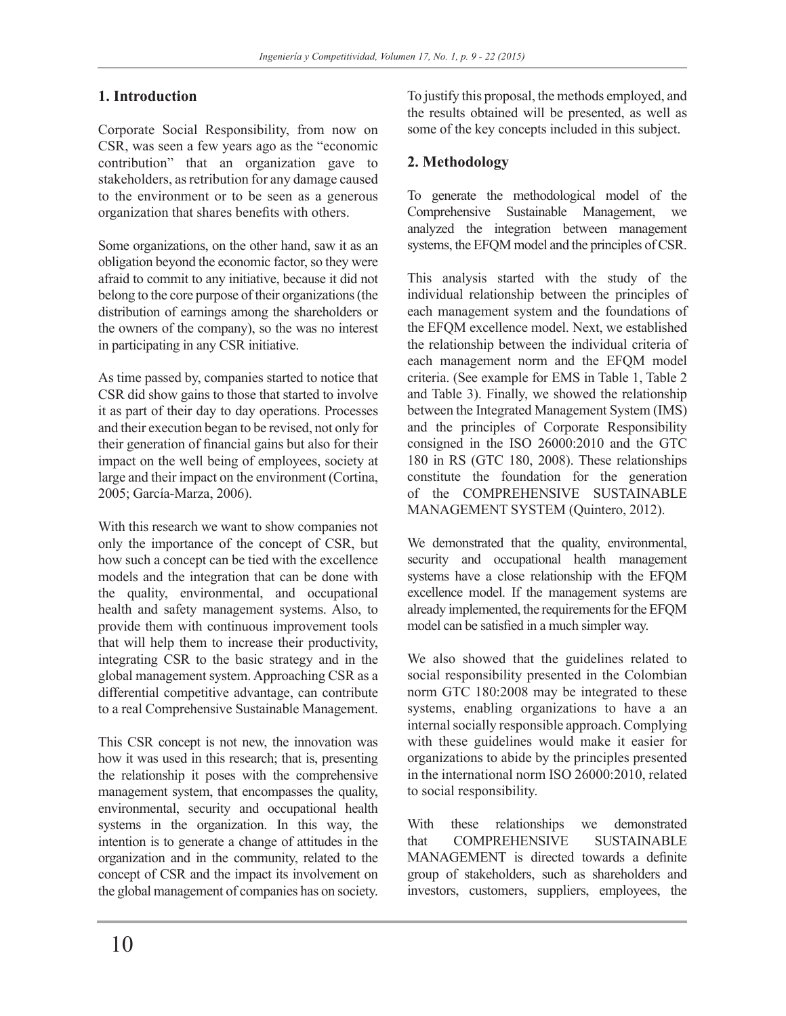## **1. Introduction**

Corporate Social Responsibility, from now on CSR, was seen a few years ago as the "economic contribution" that an organization gave to stakeholders, as retribution for any damage caused to the environment or to be seen as a generous organization that shares benefits with others.

Some organizations, on the other hand, saw it as an obligation beyond the economic factor, so they were afraid to commit to any initiative, because it did not belong to the core purpose of their organizations (the distribution of earnings among the shareholders or the owners of the company), so the was no interest in participating in any CSR initiative.

As time passed by, companies started to notice that CSR did show gains to those that started to involve it as part of their day to day operations. Processes and their execution began to be revised, not only for their generation of financial gains but also for their impact on the well being of employees, society at large and their impact on the environment (Cortina, 2005; García-Marza, 2006).

With this research we want to show companies not only the importance of the concept of CSR, but how such a concept can be tied with the excellence models and the integration that can be done with the quality, environmental, and occupational health and safety management systems. Also, to provide them with continuous improvement tools that will help them to increase their productivity, integrating CSR to the basic strategy and in the global management system. Approaching CSR as a differential competitive advantage, can contribute to a real Comprehensive Sustainable Management.

This CSR concept is not new, the innovation was how it was used in this research; that is, presenting the relationship it poses with the comprehensive management system, that encompasses the quality, environmental, security and occupational health systems in the organization. In this way, the intention is to generate a change of attitudes in the organization and in the community, related to the concept of CSR and the impact its involvement on the global management of companies has on society.

To justify this proposal, the methods employed, and the results obtained will be presented, as well as some of the key concepts included in this subject.

## **2. Methodology**

To generate the methodological model of the Comprehensive Sustainable Management, we analyzed the integration between management systems, the EFQM model and the principles of CSR.

This analysis started with the study of the individual relationship between the principles of each management system and the foundations of the EFQM excellence model. Next, we established the relationship between the individual criteria of each management norm and the EFQM model criteria. (See example for EMS in Table 1, Table 2 and Table 3). Finally, we showed the relationship between the Integrated Management System (IMS) and the principles of Corporate Responsibility consigned in the ISO 26000:2010 and the GTC 180 in RS (GTC 180, 2008). These relationships constitute the foundation for the generation of the COMPREHENSIVE SUSTAINABLE MANAGEMENT SYSTEM (Quintero, 2012).

We demonstrated that the quality, environmental, security and occupational health management systems have a close relationship with the EFQM excellence model. If the management systems are already implemented, the requirements for the EFQM model can be satisfied in a much simpler way.

We also showed that the guidelines related to social responsibility presented in the Colombian norm GTC 180:2008 may be integrated to these systems, enabling organizations to have a an internal socially responsible approach. Complying with these guidelines would make it easier for organizations to abide by the principles presented in the international norm ISO 26000:2010, related to social responsibility.

With these relationships we demonstrated that COMPREHENSIVE SUSTAINABLE MANAGEMENT is directed towards a definite group of stakeholders, such as shareholders and investors, customers, suppliers, employees, the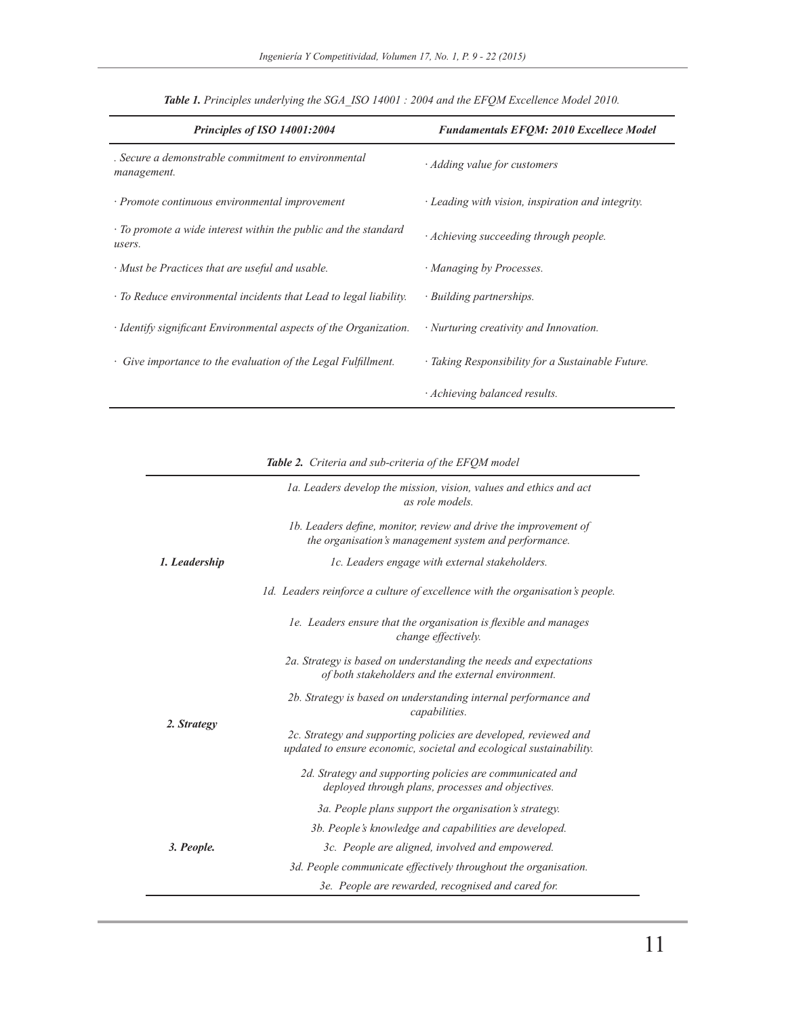| Principles of ISO 14001:2004                                              | <b>Fundamentals EFOM: 2010 Excellece Model</b>    |
|---------------------------------------------------------------------------|---------------------------------------------------|
| . Secure a demonstrable commitment to environmental<br>management.        | $\cdot$ Adding value for customers                |
| · Promote continuous environmental improvement                            | · Leading with vision, inspiration and integrity. |
| · To promote a wide interest within the public and the standard<br>users. | · Achieving succeeding through people.            |
| · Must be Practices that are useful and usable.                           | · Managing by Processes.                          |
| · To Reduce environmental incidents that Lead to legal liability.         | · Building partnerships.                          |
| · Identify significant Environmental aspects of the Organization.         | · Nurturing creativity and Innovation.            |
| • Give importance to the evaluation of the Legal Fulfillment.             | · Taking Responsibility for a Sustainable Future. |
|                                                                           | · Achieving balanced results.                     |

*Table 1. Principles underlying the SGA\_ISO 14001 : 2004 and the EFQM Excellence Model 2010.*

*Table 2. Criteria and sub-criteria of the EFQM model*

| 1b. Leaders define, monitor, review and drive the improvement of<br>the organisation's management system and performance.<br>1. Leadership<br>1c. Leaders engage with external stakeholders.<br>1d. Leaders reinforce a culture of excellence with the organisation's people.<br>1e. Leaders ensure that the organisation is flexible and manages<br>change effectively.<br>2a. Strategy is based on understanding the needs and expectations<br>of both stakeholders and the external environment.<br>2b. Strategy is based on understanding internal performance and<br>capabilities.<br>2. Strategy<br>2c. Strategy and supporting policies are developed, reviewed and<br>updated to ensure economic, societal and ecological sustainability.<br>2d. Strategy and supporting policies are communicated and<br>deployed through plans, processes and objectives.<br>3a. People plans support the organisation's strategy.<br>3b. People's knowledge and capabilities are developed.<br>3. People.<br>3c. People are aligned, involved and empowered.<br>3d. People communicate effectively throughout the organisation.<br>3e. People are rewarded, recognised and cared for. | 1a. Leaders develop the mission, vision, values and ethics and act<br>as role models. |
|----------------------------------------------------------------------------------------------------------------------------------------------------------------------------------------------------------------------------------------------------------------------------------------------------------------------------------------------------------------------------------------------------------------------------------------------------------------------------------------------------------------------------------------------------------------------------------------------------------------------------------------------------------------------------------------------------------------------------------------------------------------------------------------------------------------------------------------------------------------------------------------------------------------------------------------------------------------------------------------------------------------------------------------------------------------------------------------------------------------------------------------------------------------------------------|---------------------------------------------------------------------------------------|
|                                                                                                                                                                                                                                                                                                                                                                                                                                                                                                                                                                                                                                                                                                                                                                                                                                                                                                                                                                                                                                                                                                                                                                                  |                                                                                       |
|                                                                                                                                                                                                                                                                                                                                                                                                                                                                                                                                                                                                                                                                                                                                                                                                                                                                                                                                                                                                                                                                                                                                                                                  |                                                                                       |
|                                                                                                                                                                                                                                                                                                                                                                                                                                                                                                                                                                                                                                                                                                                                                                                                                                                                                                                                                                                                                                                                                                                                                                                  |                                                                                       |
|                                                                                                                                                                                                                                                                                                                                                                                                                                                                                                                                                                                                                                                                                                                                                                                                                                                                                                                                                                                                                                                                                                                                                                                  |                                                                                       |
|                                                                                                                                                                                                                                                                                                                                                                                                                                                                                                                                                                                                                                                                                                                                                                                                                                                                                                                                                                                                                                                                                                                                                                                  |                                                                                       |
|                                                                                                                                                                                                                                                                                                                                                                                                                                                                                                                                                                                                                                                                                                                                                                                                                                                                                                                                                                                                                                                                                                                                                                                  |                                                                                       |
|                                                                                                                                                                                                                                                                                                                                                                                                                                                                                                                                                                                                                                                                                                                                                                                                                                                                                                                                                                                                                                                                                                                                                                                  |                                                                                       |
|                                                                                                                                                                                                                                                                                                                                                                                                                                                                                                                                                                                                                                                                                                                                                                                                                                                                                                                                                                                                                                                                                                                                                                                  |                                                                                       |
|                                                                                                                                                                                                                                                                                                                                                                                                                                                                                                                                                                                                                                                                                                                                                                                                                                                                                                                                                                                                                                                                                                                                                                                  |                                                                                       |
|                                                                                                                                                                                                                                                                                                                                                                                                                                                                                                                                                                                                                                                                                                                                                                                                                                                                                                                                                                                                                                                                                                                                                                                  |                                                                                       |
|                                                                                                                                                                                                                                                                                                                                                                                                                                                                                                                                                                                                                                                                                                                                                                                                                                                                                                                                                                                                                                                                                                                                                                                  |                                                                                       |
|                                                                                                                                                                                                                                                                                                                                                                                                                                                                                                                                                                                                                                                                                                                                                                                                                                                                                                                                                                                                                                                                                                                                                                                  |                                                                                       |
|                                                                                                                                                                                                                                                                                                                                                                                                                                                                                                                                                                                                                                                                                                                                                                                                                                                                                                                                                                                                                                                                                                                                                                                  |                                                                                       |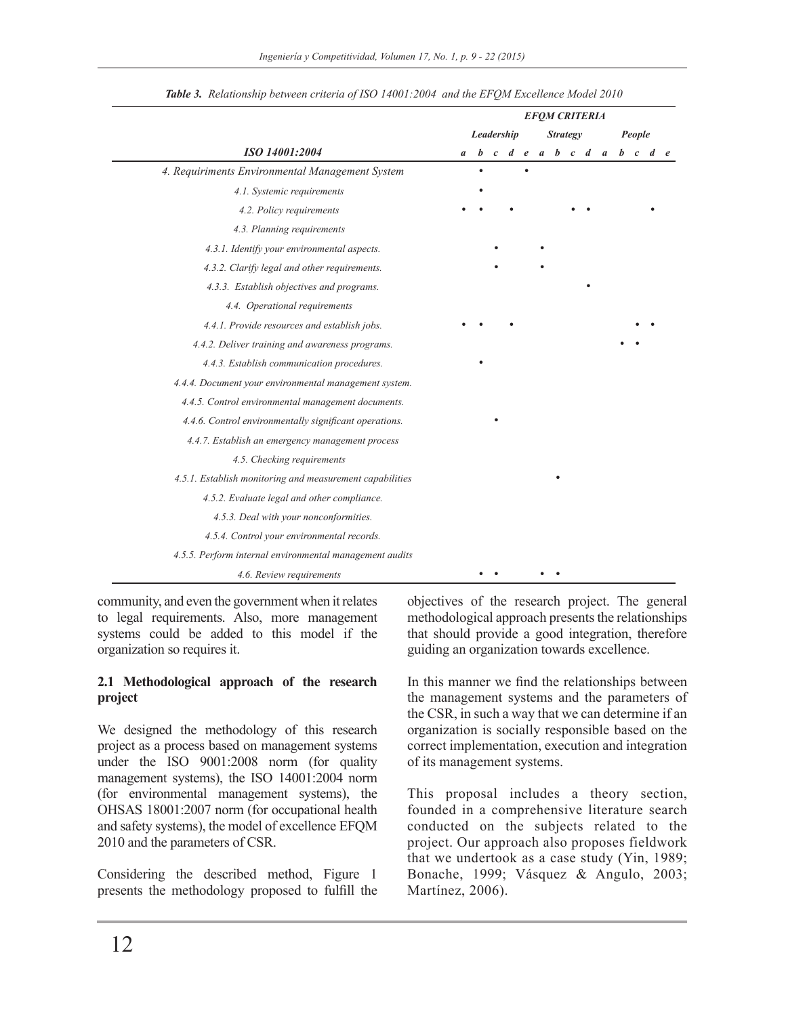|                                                          |   |   |            |  |                 | <b>EFQM CRITERIA</b> |                         |        |  |
|----------------------------------------------------------|---|---|------------|--|-----------------|----------------------|-------------------------|--------|--|
|                                                          |   |   | Leadership |  | <b>Strategy</b> |                      |                         | People |  |
| ISO 14001:2004                                           | a | b |            |  |                 |                      | c d e a b c d a b c d e |        |  |
| 4. Requiriments Environmental Management System          |   |   |            |  |                 |                      |                         |        |  |
| 4.1. Systemic requirements                               |   |   |            |  |                 |                      |                         |        |  |
| 4.2. Policy requirements                                 |   |   |            |  |                 |                      |                         |        |  |
| 4.3. Planning requirements                               |   |   |            |  |                 |                      |                         |        |  |
| 4.3.1. Identify your environmental aspects.              |   |   |            |  |                 |                      |                         |        |  |
| 4.3.2. Clarify legal and other requirements.             |   |   |            |  |                 |                      |                         |        |  |
| 4.3.3. Establish objectives and programs.                |   |   |            |  |                 |                      |                         |        |  |
| 4.4. Operational requirements                            |   |   |            |  |                 |                      |                         |        |  |
| 4.4.1. Provide resources and establish jobs.             |   |   |            |  |                 |                      |                         |        |  |
| 4.4.2. Deliver training and awareness programs.          |   |   |            |  |                 |                      |                         |        |  |
| 4.4.3. Establish communication procedures.               |   |   |            |  |                 |                      |                         |        |  |
| 4.4.4. Document your environmental management system.    |   |   |            |  |                 |                      |                         |        |  |
| 4.4.5. Control environmental management documents.       |   |   |            |  |                 |                      |                         |        |  |
| 4.4.6. Control environmentally significant operations.   |   |   |            |  |                 |                      |                         |        |  |
| 4.4.7. Establish an emergency management process         |   |   |            |  |                 |                      |                         |        |  |
| 4.5. Checking requirements                               |   |   |            |  |                 |                      |                         |        |  |
| 4.5.1. Establish monitoring and measurement capabilities |   |   |            |  |                 |                      |                         |        |  |
| 4.5.2. Evaluate legal and other compliance.              |   |   |            |  |                 |                      |                         |        |  |
| 4.5.3. Deal with your nonconformities.                   |   |   |            |  |                 |                      |                         |        |  |
| 4.5.4. Control your environmental records.               |   |   |            |  |                 |                      |                         |        |  |
| 4.5.5. Perform internal environmental management audits  |   |   |            |  |                 |                      |                         |        |  |
| 4.6. Review requirements                                 |   |   |            |  |                 |                      |                         |        |  |

*Table 3. Relationship between criteria of ISO 14001:2004 and the EFQM Excellence Model 2010*

community, and even the government when it relates to legal requirements. Also, more management systems could be added to this model if the organization so requires it.

### **2.1 Methodological approach of the research project**

We designed the methodology of this research project as a process based on management systems under the ISO 9001:2008 norm (for quality management systems), the ISO 14001:2004 norm (for environmental management systems), the OHSAS 18001:2007 norm (for occupational health and safety systems), the model of excellence EFQM 2010 and the parameters of CSR.

Considering the described method, Figure 1 presents the methodology proposed to fulfill the objectives of the research project. The general methodological approach presents the relationships that should provide a good integration, therefore guiding an organization towards excellence.

In this manner we find the relationships between the management systems and the parameters of the CSR, in such a way that we can determine if an organization is socially responsible based on the correct implementation, execution and integration of its management systems.

This proposal includes a theory section, founded in a comprehensive literature search conducted on the subjects related to the project. Our approach also proposes fieldwork that we undertook as a case study (Yin, 1989; Bonache, 1999; Vásquez & Angulo, 2003; Martínez, 2006).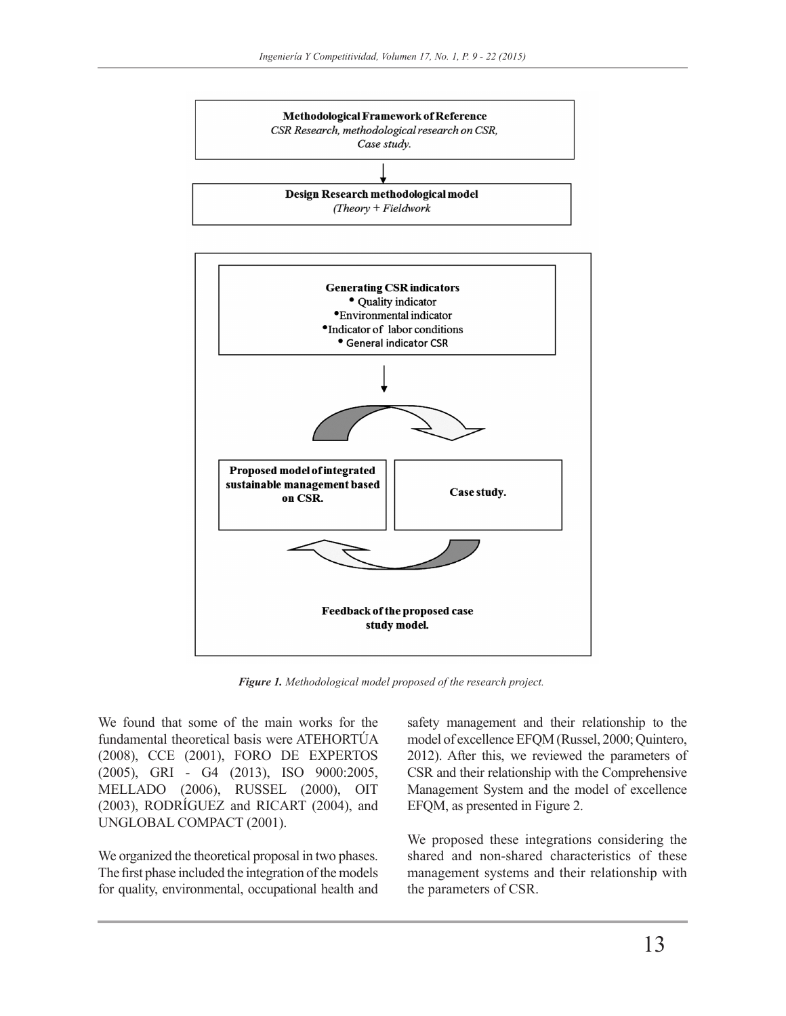



*Figure 1. Methodological model proposed of the research project.* 

We found that some of the main works for the fundamental theoretical basis were ATEHORTÚA (2008), CCE (2001), FORO DE EXPERTOS (2005), GRI - G4 (2013), ISO 9000:2005, MELLADO (2006), RUSSEL (2000), OIT (2003), RODRÍGUEZ and RICART (2004), and UNGLOBAL COMPACT (2001).

We organized the theoretical proposal in two phases. The first phase included the integration of the models for quality, environmental, occupational health and

safety management and their relationship to the model of excellence EFQM (Russel, 2000; Quintero, 2012). After this, we reviewed the parameters of CSR and their relationship with the Comprehensive Management System and the model of excellence EFQM, as presented in Figure 2.

We proposed these integrations considering the shared and non-shared characteristics of these management systems and their relationship with the parameters of CSR.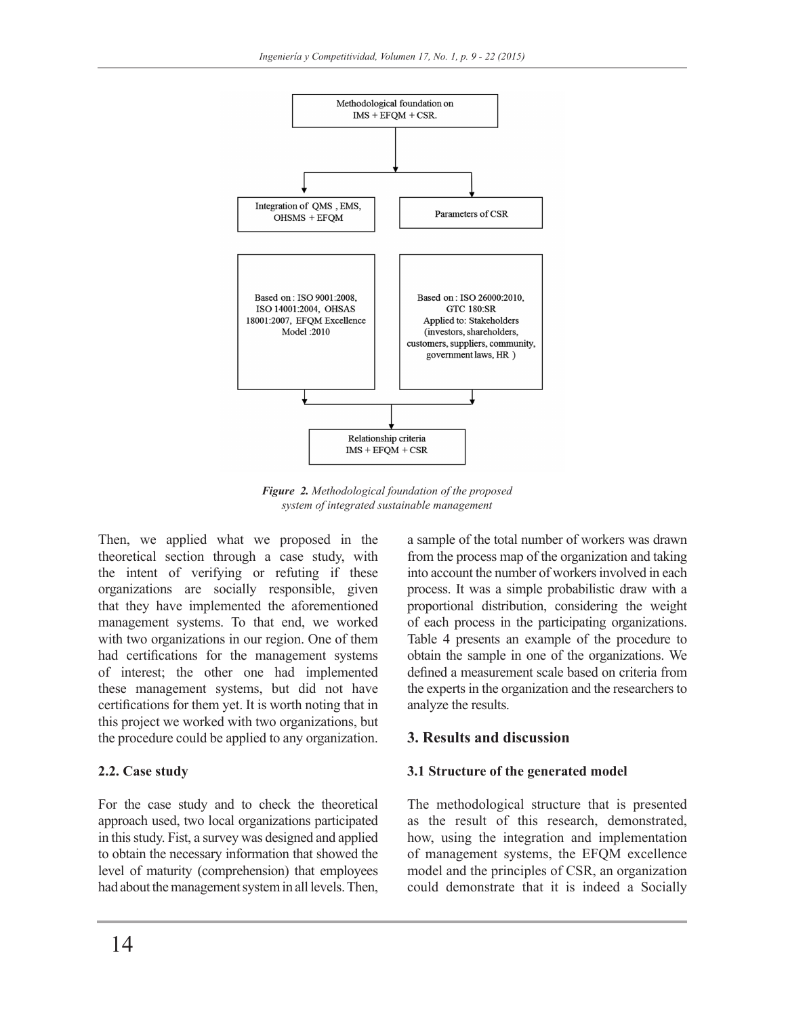

*Figure 2. Methodological foundation of the proposed system of integrated sustainable management*

Then, we applied what we proposed in the theoretical section through a case study, with the intent of verifying or refuting if these organizations are socially responsible, given that they have implemented the aforementioned management systems. To that end, we worked with two organizations in our region. One of them had certifications for the management systems of interest; the other one had implemented these management systems, but did not have certifications for them yet. It is worth noting that in this project we worked with two organizations, but the procedure could be applied to any organization.

### **2.2. Case study**

For the case study and to check the theoretical approach used, two local organizations participated in this study. Fist, a survey was designed and applied to obtain the necessary information that showed the level of maturity (comprehension) that employees had about the management system in all levels. Then,

a sample of the total number of workers was drawn from the process map of the organization and taking into account the number of workers involved in each process. It was a simple probabilistic draw with a proportional distribution, considering the weight of each process in the participating organizations. Table 4 presents an example of the procedure to obtain the sample in one of the organizations. We defined a measurement scale based on criteria from the experts in the organization and the researchers to analyze the results.

## **3. Results and discussion**

## **3.1 Structure of the generated model**

The methodological structure that is presented as the result of this research, demonstrated, how, using the integration and implementation of management systems, the EFQM excellence model and the principles of CSR, an organization could demonstrate that it is indeed a Socially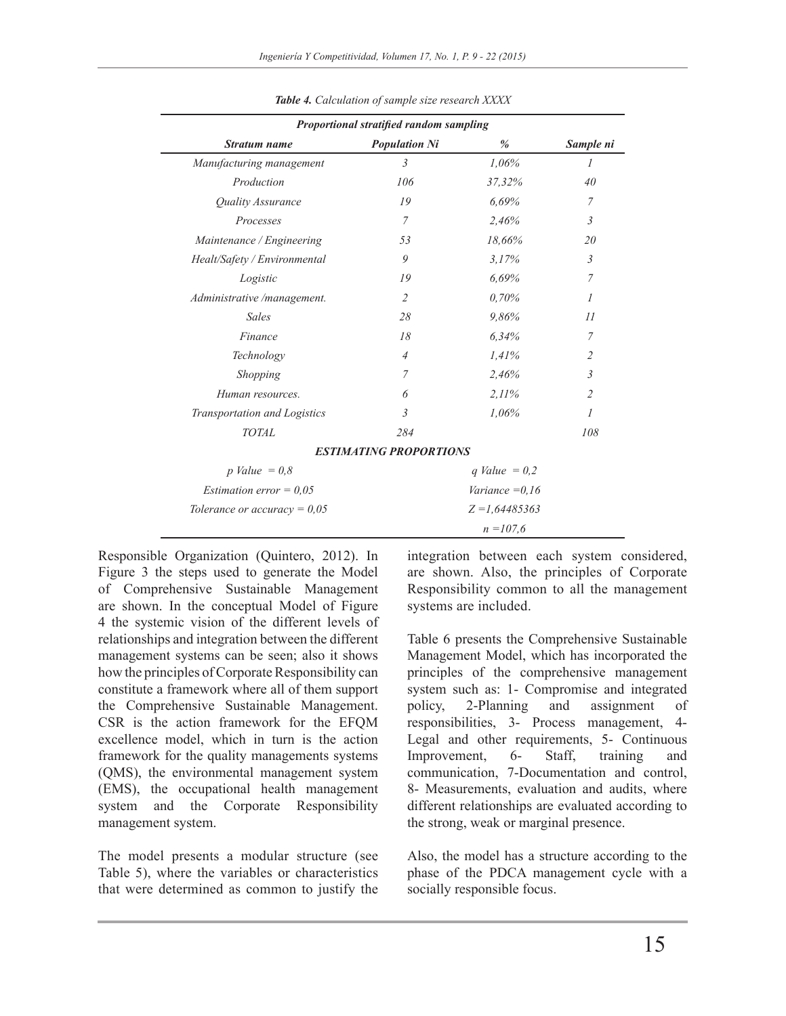|                                  | Proportional stratified random sampling |                  |                |
|----------------------------------|-----------------------------------------|------------------|----------------|
| <b>Stratum name</b>              | <b>Population Ni</b>                    | %                | Sample ni      |
| Manufacturing management         | $\mathfrak{Z}$                          | 1,06%            | $\mathcal{I}$  |
| Production                       | 106                                     | 37,32%           | 40             |
| <b>Quality Assurance</b>         | 19                                      | 6,69%            | 7              |
| Processes                        | $\overline{7}$                          | 2,46%            | $\mathfrak{Z}$ |
| Maintenance / Engineering        | 53                                      | 18,66%           | 20             |
| Healt/Safety / Environmental     | 9                                       | 3.17%            | 3              |
| Logistic                         | 19                                      | 6.69%            | 7              |
| Administrative /management.      | $\overline{2}$                          | 0.70%            | $\mathcal{I}$  |
| <b>Sales</b>                     | 28                                      | 9,86%            | 11             |
| Finance                          | 18                                      | 6,34%            | 7              |
| Technology                       | $\overline{4}$                          | 1,41%            | $\overline{c}$ |
| Shopping                         | 7                                       | 2,46%            | $\mathfrak{Z}$ |
| Human resources.                 | 6                                       | 2.11%            | $\overline{2}$ |
| Transportation and Logistics     | $\mathfrak{Z}$                          | 1,06%            | $\overline{I}$ |
| <b>TOTAL</b>                     | 284                                     |                  | 108            |
|                                  | <b>ESTIMATING PROPORTIONS</b>           |                  |                |
| p Value = $0,8$                  |                                         | q Value = $0,2$  |                |
| <i>Estimation error</i> = $0.05$ |                                         | Variance $=0.16$ |                |
| Tolerance or accuracy = $0.05$   |                                         | $Z = 1,64485363$ |                |
|                                  |                                         | $n = 107.6$      |                |

*Table 4. Calculation of sample size research XXXX*

Responsible Organization (Quintero, 2012). In Figure 3 the steps used to generate the Model of Comprehensive Sustainable Management are shown. In the conceptual Model of Figure 4 the systemic vision of the different levels of relationships and integration between the different management systems can be seen; also it shows how the principles of Corporate Responsibility can constitute a framework where all of them support the Comprehensive Sustainable Management. CSR is the action framework for the EFQM excellence model, which in turn is the action framework for the quality managements systems (QMS), the environmental management system (EMS), the occupational health management system and the Corporate Responsibility management system.

The model presents a modular structure (see Table 5), where the variables or characteristics that were determined as common to justify the

integration between each system considered, are shown. Also, the principles of Corporate Responsibility common to all the management systems are included.

Table 6 presents the Comprehensive Sustainable Management Model, which has incorporated the principles of the comprehensive management system such as: 1- Compromise and integrated policy, 2-Planning and assignment of responsibilities, 3- Process management, 4- Legal and other requirements, 5- Continuous Improvement, 6- Staff, training and communication, 7-Documentation and control, 8- Measurements, evaluation and audits, where different relationships are evaluated according to the strong, weak or marginal presence.

Also, the model has a structure according to the phase of the PDCA management cycle with a socially responsible focus.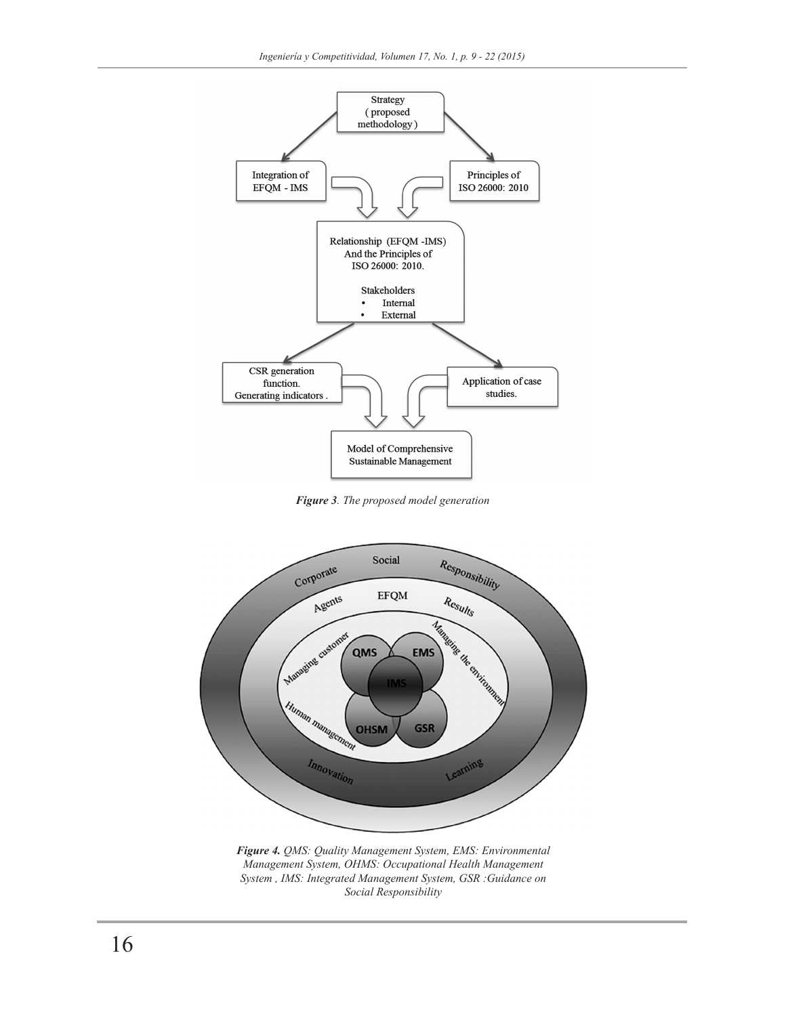

*Figure 3. The proposed model generation*



*Figure 4. QMS: Quality Management System, EMS: Environmental Management System, OHMS: Occupational Health Management System , IMS: Integrated Management System, GSR :Guidance on Social Responsibility*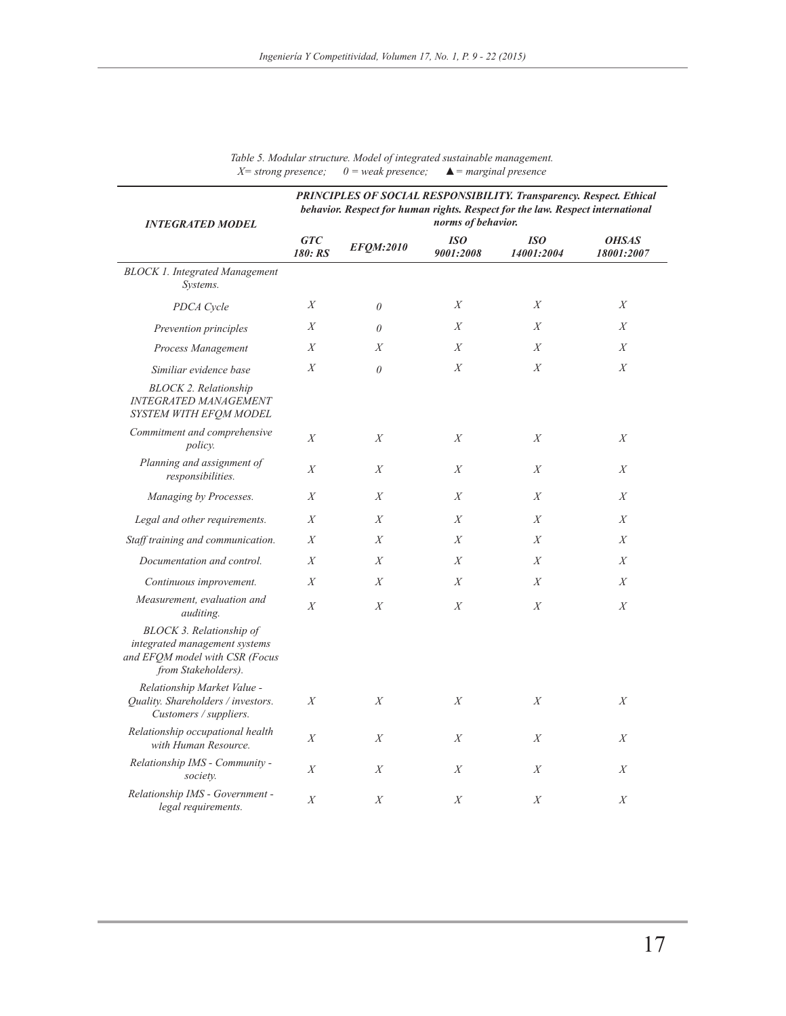| <b>INTEGRATED MODEL</b>                                                                                            |                       |                  | norms of behavior.      | <b>PRINCIPLES OF SOCIAL RESPONSIBILITY. Transparency. Respect. Ethical</b><br>behavior. Respect for human rights. Respect for the law. Respect international |                            |
|--------------------------------------------------------------------------------------------------------------------|-----------------------|------------------|-------------------------|--------------------------------------------------------------------------------------------------------------------------------------------------------------|----------------------------|
|                                                                                                                    | <b>GTC</b><br>180: RS | EFQM:2010        | <b>ISO</b><br>9001:2008 | <b>ISO</b><br>14001:2004                                                                                                                                     | <b>OHSAS</b><br>18001:2007 |
| <b>BLOCK 1. Integrated Management</b><br>Systems.                                                                  |                       |                  |                         |                                                                                                                                                              |                            |
| PDCA Cycle                                                                                                         | $\boldsymbol{X}$      | $\theta$         | X                       | $\boldsymbol{X}$                                                                                                                                             | $\boldsymbol{X}$           |
| Prevention principles                                                                                              | X                     | $\theta$         | X                       | X                                                                                                                                                            | X                          |
| Process Management                                                                                                 | X                     | $\boldsymbol{X}$ | X                       | $\boldsymbol{X}$                                                                                                                                             | X                          |
| Similiar evidence base                                                                                             | $\boldsymbol{X}$      | $\theta$         | X                       | $\boldsymbol{X}$                                                                                                                                             | X                          |
| <b>BLOCK 2. Relationship</b><br><b>INTEGRATED MANAGEMENT</b><br>SYSTEM WITH EFOM MODEL                             |                       |                  |                         |                                                                                                                                                              |                            |
| Commitment and comprehensive<br><i>policy.</i>                                                                     | X                     | X                | X                       | X                                                                                                                                                            | $\boldsymbol{X}$           |
| Planning and assignment of<br>responsibilities.                                                                    | $\boldsymbol{X}$      | X                | X                       | X                                                                                                                                                            | X                          |
| Managing by Processes.                                                                                             | $\boldsymbol{X}$      | X                | X                       | $\boldsymbol{X}$                                                                                                                                             | $\boldsymbol{X}$           |
| Legal and other requirements.                                                                                      | $\boldsymbol{X}$      | X                | $\boldsymbol{X}$        | $\boldsymbol{X}$                                                                                                                                             | $\boldsymbol{X}$           |
| Staff training and communication.                                                                                  | $\boldsymbol{X}$      | X                | X                       | $\boldsymbol{X}$                                                                                                                                             | $\boldsymbol{X}$           |
| Documentation and control.                                                                                         | $\boldsymbol{X}$      | X                | X                       | X                                                                                                                                                            | $\boldsymbol{X}$           |
| Continuous improvement.                                                                                            | $\boldsymbol{X}$      | X                | X                       | $\boldsymbol{X}$                                                                                                                                             | $\boldsymbol{X}$           |
| Measurement, evaluation and<br><i>auditing.</i>                                                                    | X                     | X                | X                       | $\boldsymbol{X}$                                                                                                                                             | $\boldsymbol{X}$           |
| BLOCK 3. Relationship of<br>integrated management systems<br>and EFOM model with CSR (Focus<br>from Stakeholders). |                       |                  |                         |                                                                                                                                                              |                            |
| Relationship Market Value -<br>Quality. Shareholders / investors.<br>Customers / suppliers.                        | $\boldsymbol{X}$      | X                | X                       | $\boldsymbol{X}$                                                                                                                                             | $\boldsymbol{X}$           |
| Relationship occupational health<br>with Human Resource.                                                           | $\boldsymbol{X}$      | X                | X                       | $\boldsymbol{X}$                                                                                                                                             | X                          |
| Relationship IMS - Community -<br>society.                                                                         | $\boldsymbol{X}$      | $\boldsymbol{X}$ | X                       | X                                                                                                                                                            | $\boldsymbol{X}$           |
| Relationship IMS - Government -<br>legal requirements.                                                             | X                     | X                | X                       | X                                                                                                                                                            | X                          |

*Table 5. Modular structure. Model of integrated sustainable management. X= strong presence; 0 = weak presence; ▲= marginal presence*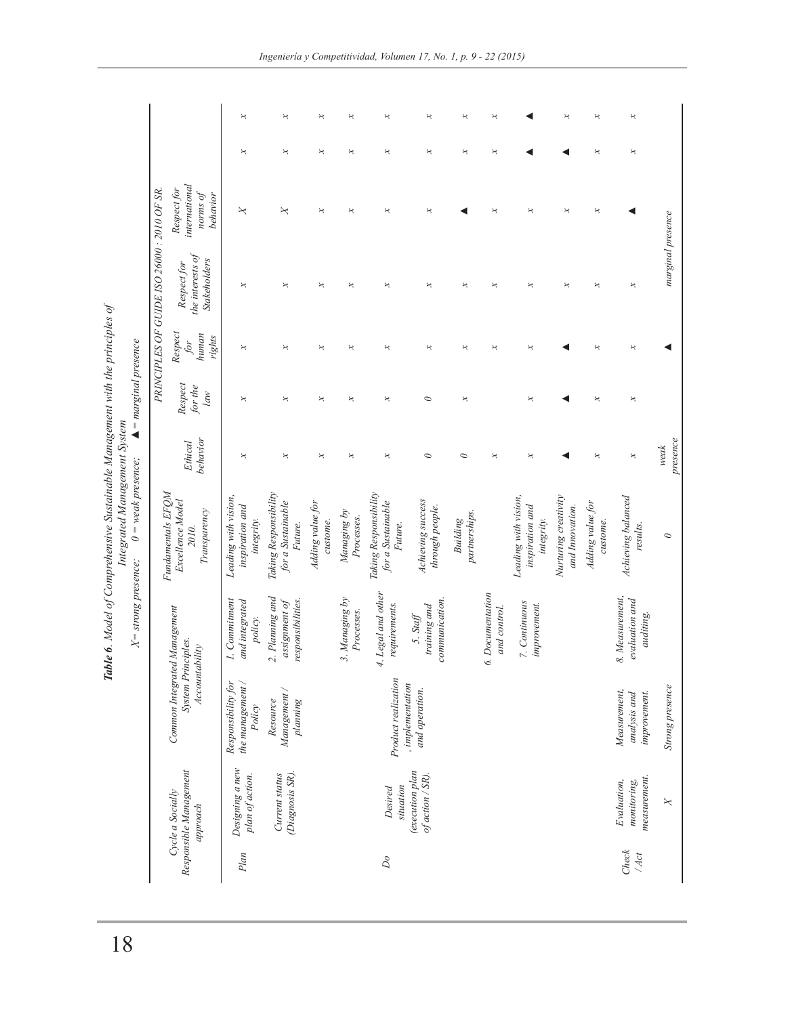|                                                                                                                                              |                                             |                                                                      | ×                                                     | ×                                                     | ×                            | ×                            | ×                                                     | ×                                          | ×                                | ×                                |                                                       | ×                                       | ×                            | ×                                              |                   |
|----------------------------------------------------------------------------------------------------------------------------------------------|---------------------------------------------|----------------------------------------------------------------------|-------------------------------------------------------|-------------------------------------------------------|------------------------------|------------------------------|-------------------------------------------------------|--------------------------------------------|----------------------------------|----------------------------------|-------------------------------------------------------|-----------------------------------------|------------------------------|------------------------------------------------|-------------------|
|                                                                                                                                              |                                             |                                                                      | ×                                                     | ×                                                     | ×                            | ×                            | ×                                                     | ×                                          | ×                                | ×                                |                                                       |                                         | ×                            | ×                                              |                   |
|                                                                                                                                              |                                             | international<br>Respect for<br>behavior<br>po sutou                 | X                                                     | ×                                                     | ×                            | ×                            | ×                                                     | ×                                          |                                  | ×                                | ×                                                     | ×                                       | ×                            |                                                |                   |
|                                                                                                                                              | PRINCIPLES OF GUIDE ISO 26000 : 2010 OF SR. | the interests of<br><b>Stakeholders</b><br>Respect for               | ×                                                     | $\boldsymbol{\varkappa}$                              | ×                            | $\Join$                      | ×                                                     | ×                                          | ×                                | ×                                | $\star$                                               | ×                                       | ×                            | ×                                              | marginal presence |
|                                                                                                                                              |                                             | Respect<br>human<br>rights<br>for                                    | ×                                                     | ×                                                     | ×                            | ×                            | ×                                                     | ×                                          | ×                                | ×                                | ×                                                     |                                         | ×                            | ×                                              |                   |
| $\blacktriangle$ = marginal presence                                                                                                         |                                             | Respect<br>for the<br>law                                            | ×                                                     | ×                                                     | ×                            | ×                            | ×                                                     | $\circ$                                    | ×                                |                                  | ×                                                     |                                         | ×                            | ×                                              |                   |
|                                                                                                                                              |                                             | behavior<br>Ethical                                                  | ×                                                     | ×                                                     | ×                            | $\Join$                      | ×                                                     | $\circ$                                    | $\circ$                          | $\star$                          | $\star$                                               |                                         | $\boldsymbol{\varkappa}$     | ×                                              | presence<br>weak  |
| <b>Table 6.</b> Model of Comprehensive Sustainable Management with the principles of<br>Integrated Management System<br>$0$ = weak presence; |                                             | Fundamentals EFQM<br>Excellence Model<br>Transparency<br>2010.       | Leading with vision,<br>inspiration and<br>integrity. | Taking Responsibility<br>for a Sustainable<br>Future. | Adding value for<br>custome. | Managing by<br>Processes.    | Taking Responsibility<br>for a Sustainable<br>Future. | Achieving success<br>through people.       | partnerships.<br><b>Building</b> |                                  | Leading with vision,<br>inspiration and<br>integrity. | Nurturing creativity<br>and Innovation. | Adding value for<br>custome. | Achieving balanced<br>results.                 | $\circ$           |
| $X =$ strong presence;                                                                                                                       |                                             |                                                                      | 1. Commitment<br>and integrated<br>policy.            | 2. Planning and<br>responsibilities.<br>assignment of |                              | 3. Managing by<br>Processes. | 4. Legal and other<br>requirements.                   | communication.<br>training and<br>5. Staff |                                  | 6. Documentation<br>and control. | 7. Continuous<br>improvement.                         |                                         |                              | 8. Measurement,<br>evaluation and<br>auditing. |                   |
|                                                                                                                                              |                                             | Common Integrated Management<br>System Principles.<br>Accountability | the management /<br>Responsibility for<br>Policy      | Management<br>Resource<br>planning                    |                              |                              | Product realization                                   | , in phenomenon<br>and operation.          |                                  |                                  |                                                       |                                         |                              | Measurement,<br>improvement.<br>analysis and   | Strong presence   |
|                                                                                                                                              |                                             | Responsible Management<br>Cycle a Socially<br>approach               | Designing a new<br>plan of action.                    | (Diagnosis SR).<br>Current status                     |                              |                              | situation<br>Desired                                  | <i>(execution plan</i><br>of action / SR). |                                  |                                  |                                                       |                                         |                              | measurement.<br>Evaluation,<br>monitoring,     | X                 |
|                                                                                                                                              |                                             |                                                                      | Plan                                                  |                                                       |                              |                              | $\mathcal{D}o$                                        |                                            |                                  |                                  |                                                       |                                         |                              | Check<br>/ Act                                 |                   |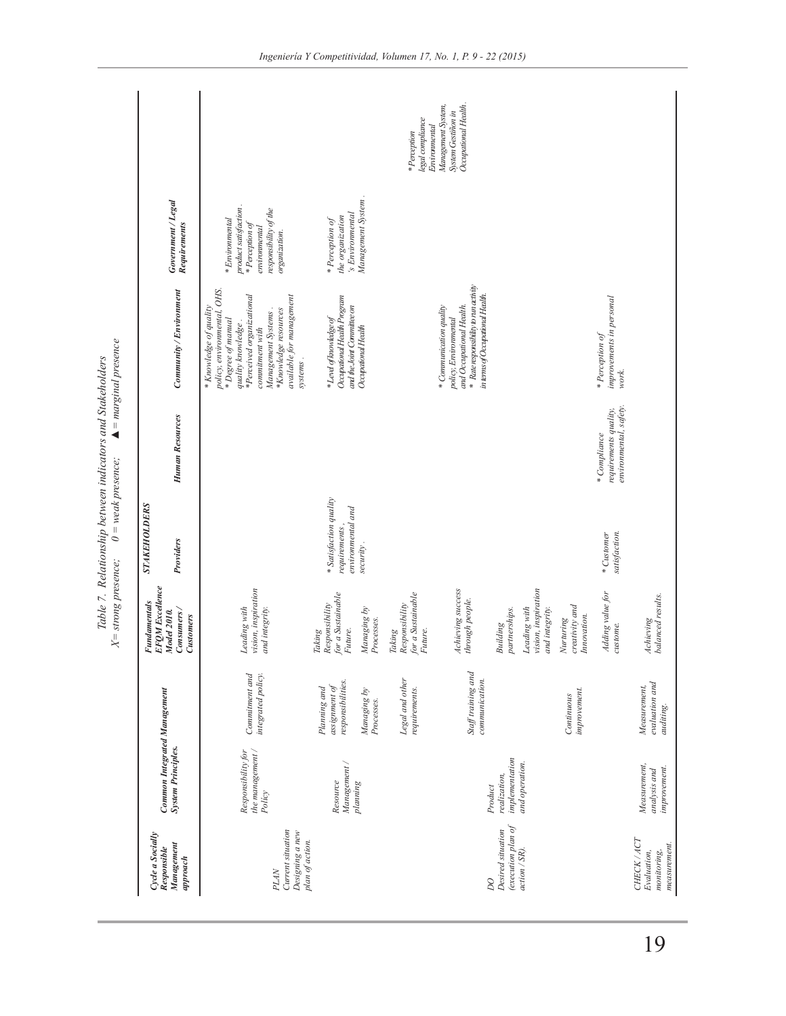|                                                                 |                                                                  |                                                    | $X =$ strong presence;                                   | $0$ = weak presence;                                         | Table 7. Relationship between indicators and Stakeholders      | $\blacktriangle$ = marginal presence                                                                                                                                                                                                   |                                                                                                                       |                                                                                  |
|-----------------------------------------------------------------|------------------------------------------------------------------|----------------------------------------------------|----------------------------------------------------------|--------------------------------------------------------------|----------------------------------------------------------------|----------------------------------------------------------------------------------------------------------------------------------------------------------------------------------------------------------------------------------------|-----------------------------------------------------------------------------------------------------------------------|----------------------------------------------------------------------------------|
| Cycle a Socially                                                |                                                                  |                                                    | <b>EFOM</b> Excellence<br><b>Fundamentals</b>            | <b>STAKEHOLDERS</b>                                          |                                                                |                                                                                                                                                                                                                                        |                                                                                                                       |                                                                                  |
| Management<br>Responsible<br>approx a                           | <b>Common Integrated Management</b><br><b>System Principles.</b> |                                                    | Consumers/<br>Model 2010.<br>Customers                   | Providers                                                    | <b>Human Resources</b>                                         | Community / Environment                                                                                                                                                                                                                | Government/Legal<br>Requirements                                                                                      |                                                                                  |
| Current situation<br>Designing a new<br>plan of action.<br>PLAN | the management /<br>Responsibility for<br>Policy                 | Commitment and<br>integrated policy.               | vision, inspiration<br>Leading with<br>and integrity.    |                                                              |                                                                | policy, environmental, OHS.<br>*Perceived organizational<br>available for management<br>* Knowledge of quality<br>*Knowledge resources<br>Management Systems<br>* Degree of manual<br>quality knowledge<br>commitment with<br>systems. | product satisfaction.<br>responsibility of the<br>$*Enviromental$<br>*Perception of<br>environmental<br>organization. |                                                                                  |
|                                                                 | Management /<br>Resource                                         | responsibilities.<br>assignment of<br>Planning and | for a Sustainable<br>Responsibility<br>Future.<br>Taking | * Satisfaction quality<br>environmental and<br>requirements, |                                                                | Occupational Health Program<br>and the Joint Committee on<br>* Level of knowledge of                                                                                                                                                   | 's Environmental<br>the organization<br>* Perception of                                                               |                                                                                  |
|                                                                 | planning                                                         | Managing by<br>Processes.                          | Managing by<br>Processes.                                | security.                                                    |                                                                | Occupational Health                                                                                                                                                                                                                    | Management System.                                                                                                    |                                                                                  |
|                                                                 |                                                                  | Legal and other<br>requirements.                   | for a Sustainable<br>Future.<br>Responsibility<br>Taking |                                                              |                                                                |                                                                                                                                                                                                                                        |                                                                                                                       | legal compliance<br>* Perception                                                 |
| $\overline{D}O$                                                 | Product                                                          | Staff training and<br>communication.               | Achieving success<br>through people.                     |                                                              |                                                                | * Rate responsibility to run activity<br>in terms of Occupational Health.<br>and Occupational Health.<br>* Communication quality<br>policy, Environmental                                                                              |                                                                                                                       | Occupational Health<br>Management System,<br>System Gestiñon in<br>Environmental |
| $(execution$ plan of<br>Desired situation<br>action / SR).      | implementation<br>and operation.<br>realization,                 |                                                    | partnerships.<br>Building                                |                                                              |                                                                |                                                                                                                                                                                                                                        |                                                                                                                       |                                                                                  |
|                                                                 |                                                                  |                                                    | vision, inspiration<br>Leading with<br>and integrity.    |                                                              |                                                                |                                                                                                                                                                                                                                        |                                                                                                                       |                                                                                  |
|                                                                 |                                                                  | improvement.<br>Continuous                         | creativity and<br>Innovation.<br>Nurturing               |                                                              |                                                                |                                                                                                                                                                                                                                        |                                                                                                                       |                                                                                  |
|                                                                 |                                                                  |                                                    | Adding value for<br>custome.                             | satisfaction.<br>* Customer                                  | environmental, safety.<br>requirements quality,<br>*Compliance | improvements in personal<br>* Perception of<br>work.                                                                                                                                                                                   |                                                                                                                       |                                                                                  |
| CHECK / ACT<br>measurement.<br>Evaluation,<br>monitoring,       | Measurement,<br>improvement.<br>analysis and                     | evaluation and<br>Measurement,<br>auditing.        | balanced results.<br>Achieving                           |                                                              |                                                                |                                                                                                                                                                                                                                        |                                                                                                                       |                                                                                  |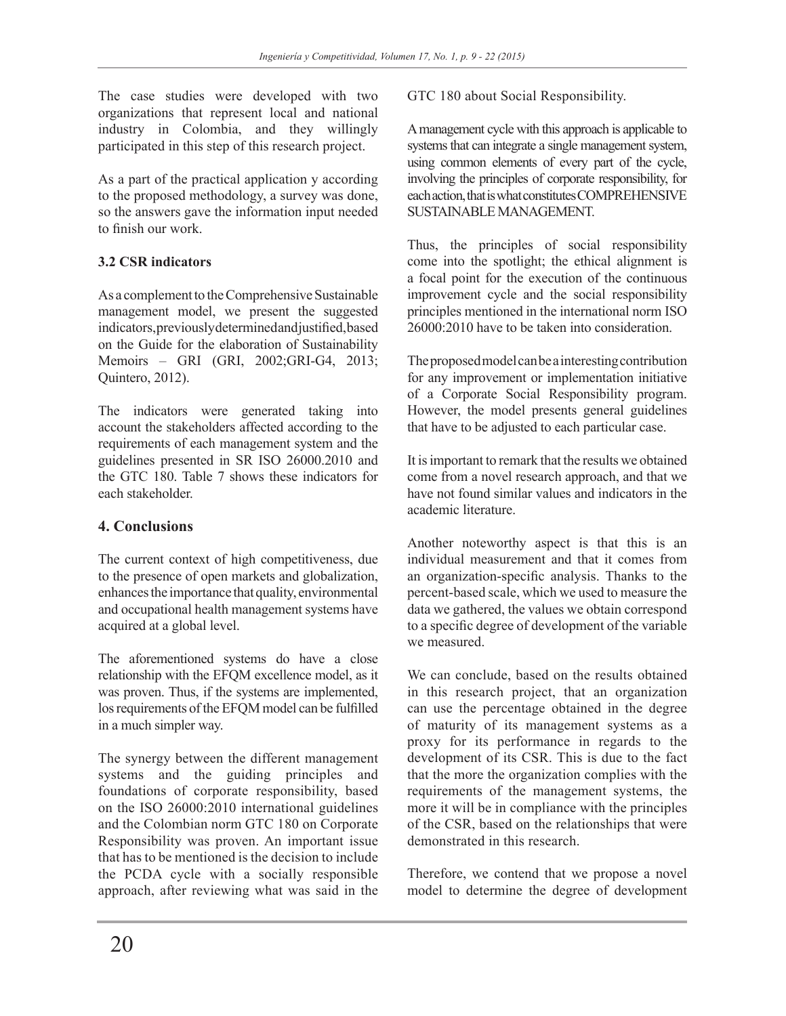The case studies were developed with two organizations that represent local and national industry in Colombia, and they willingly participated in this step of this research project.

As a part of the practical application y according to the proposed methodology, a survey was done, so the answers gave the information input needed to finish our work.

### **3.2 CSR indicators**

As a complement to the Comprehensive Sustainable management model, we present the suggested indicators, previously determined and justified, based on the Guide for the elaboration of Sustainability Memoirs – GRI (GRI, 2002;GRI-G4, 2013; Quintero, 2012).

The indicators were generated taking into account the stakeholders affected according to the requirements of each management system and the guidelines presented in SR ISO 26000.2010 and the GTC 180. Table 7 shows these indicators for each stakeholder.

## **4. Conclusions**

The current context of high competitiveness, due to the presence of open markets and globalization, enhances the importance that quality, environmental and occupational health management systems have acquired at a global level.

The aforementioned systems do have a close relationship with the EFQM excellence model, as it was proven. Thus, if the systems are implemented, los requirements of the EFQM model can be fulfilled in a much simpler way.

The synergy between the different management systems and the guiding principles and foundations of corporate responsibility, based on the ISO 26000:2010 international guidelines and the Colombian norm GTC 180 on Corporate Responsibility was proven. An important issue that has to be mentioned is the decision to include the PCDA cycle with a socially responsible approach, after reviewing what was said in the GTC 180 about Social Responsibility.

A management cycle with this approach is applicable to systems that can integrate a single management system, using common elements of every part of the cycle, involving the principles of corporate responsibility, for each action, that is what constitutes COMPREHENSIVE SUSTAINABLE MANAGEMENT.

Thus, the principles of social responsibility come into the spotlight; the ethical alignment is a focal point for the execution of the continuous improvement cycle and the social responsibility principles mentioned in the international norm ISO  $26000 \cdot 2010$  have to be taken into consideration.

The proposed model can be a interesting contribution for any improvement or implementation initiative of a Corporate Social Responsibility program. However, the model presents general guidelines that have to be adjusted to each particular case.

It is important to remark that the results we obtained come from a novel research approach, and that we have not found similar values and indicators in the academic literature.

Another noteworthy aspect is that this is an individual measurement and that it comes from an organization-specific analysis. Thanks to the percent-based scale, which we used to measure the data we gathered, the values we obtain correspond to a specific degree of development of the variable we measured.

We can conclude, based on the results obtained in this research project, that an organization can use the percentage obtained in the degree of maturity of its management systems as a proxy for its performance in regards to the development of its CSR. This is due to the fact that the more the organization complies with the requirements of the management systems, the more it will be in compliance with the principles of the CSR, based on the relationships that were demonstrated in this research.

Therefore, we contend that we propose a novel model to determine the degree of development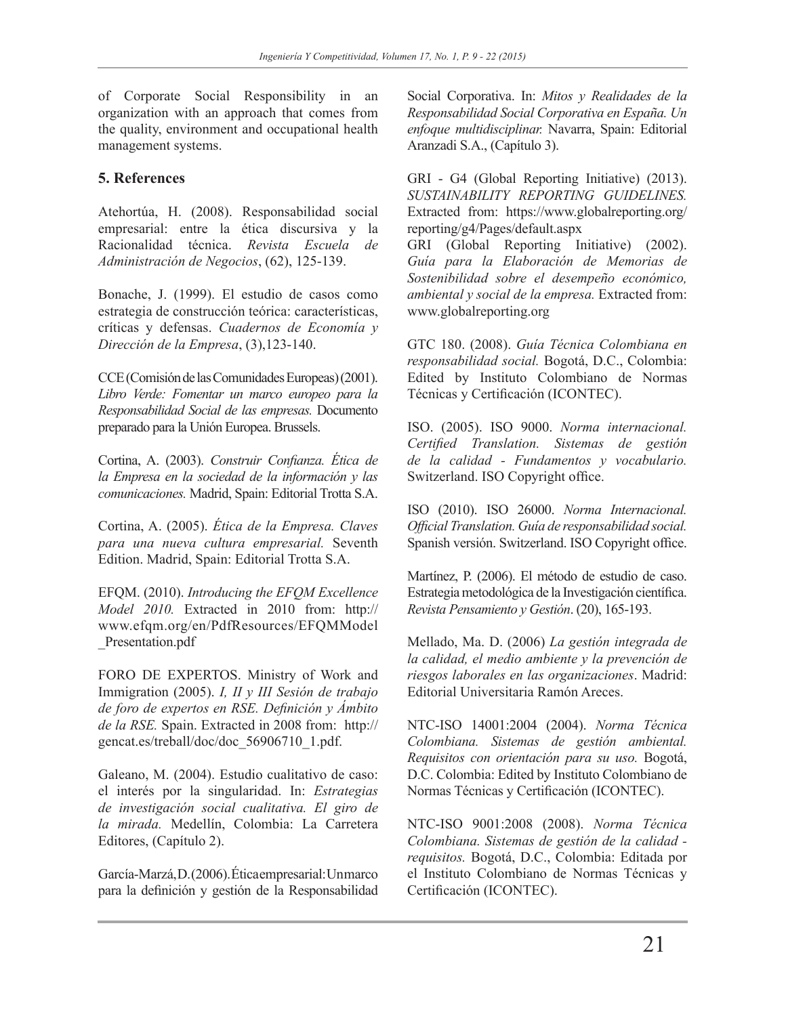of Corporate Social Responsibility in an organization with an approach that comes from the quality, environment and occupational health management systems.

## **5. References**

Atehortúa, H. (2008). Responsabilidad social empresarial: entre la ética discursiva y la Racionalidad técnica. *Revista Escuela de Administración de Negocios*, (62), 125-139.

Bonache, J. (1999). El estudio de casos como estrategia de construcción teórica: características, críticas y defensas. *Cuadernos de Economía y Dirección de la Empresa*, (3),123-140.

CCE (Comisión de las Comunidades Europeas) (2001). *Libro Verde: Fomentar un marco europeo para la Responsabilidad Social de las empresas.* Documento preparado para la Unión Europea. Brussels.

Cortina, A. (2003). *Construir Confianza. Ética de la Empresa en la sociedad de la información y las comunicaciones.* Madrid, Spain: Editorial Trotta S.A.

Cortina, A. (2005). *Ética de la Empresa. Claves para una nueva cultura empresarial.* Seventh Edition. Madrid, Spain: Editorial Trotta S.A.

EFQM. (2010). *Introducing the EFQM Excellence Model 2010.* Extracted in 2010 from: http:// www.efqm.org/en/PdfResources/EFQMModel \_Presentation.pdf

FORO DE EXPERTOS. Ministry of Work and Immigration (2005). *I, II y III Sesión de trabajo de foro de expertos en RSE. Definición y Ámbito de la RSE.* Spain. Extracted in 2008 from: http:// gencat.es/treball/doc/doc\_56906710\_1.pdf.

Galeano, M. (2004). Estudio cualitativo de caso: el interés por la singularidad. In: *Estrategias de investigación social cualitativa. El giro de la mirada.* Medellín, Colombia: La Carretera Editores, (Capítulo 2).

García-Marzá, D. (2006). Ética empresarial: Un marco para la definición y gestión de la Responsabilidad

Social Corporativa. In: *Mitos y Realidades de la Responsabilidad Social Corporativa en España. Un enfoque multidisciplinar.* Navarra, Spain: Editorial Aranzadi S.A., (Capítulo 3).

GRI - G4 (Global Reporting Initiative) (2013). *SUSTAINABILITY REPORTING GUIDELINES.*  Extracted from: https://www.globalreporting.org/ reporting/g4/Pages/default.aspx GRI (Global Reporting Initiative) (2002).

*Guía para la Elaboración de Memorias de Sostenibilidad sobre el desempeño económico, ambiental y social de la empresa.* Extracted from: www.globalreporting.org

GTC 180. (2008). *Guía Técnica Colombiana en responsabilidad social.* Bogotá, D.C., Colombia: Edited by Instituto Colombiano de Normas Técnicas y Certificación (ICONTEC).

ISO. (2005). ISO 9000. *Norma internacional. Certified Translation. Sistemas de gestión de la calidad - Fundamentos y vocabulario.* Switzerland. ISO Copyright office.

ISO (2010). ISO 26000. *Norma Internacional. Official Translation. Guía de responsabilidad social.*  Spanish versión. Switzerland. ISO Copyright office.

Martínez, P. (2006). El método de estudio de caso. Estrategia metodológica de la Investigación científica. *Revista Pensamiento y Gestión*. (20), 165-193.

Mellado, Ma. D. (2006) *La gestión integrada de la calidad, el medio ambiente y la prevención de riesgos laborales en las organizaciones*. Madrid: Editorial Universitaria Ramón Areces.

NTC-ISO 14001:2004 (2004). *Norma Técnica Colombiana. Sistemas de gestión ambiental. Requisitos con orientación para su uso.* Bogotá, D.C. Colombia: Edited by Instituto Colombiano de Normas Técnicas y Certificación (ICONTEC).

NTC-ISO 9001:2008 (2008). *Norma Técnica Colombiana. Sistemas de gestión de la calidad requisitos.* Bogotá, D.C., Colombia: Editada por el Instituto Colombiano de Normas Técnicas y Certificación (ICONTEC).